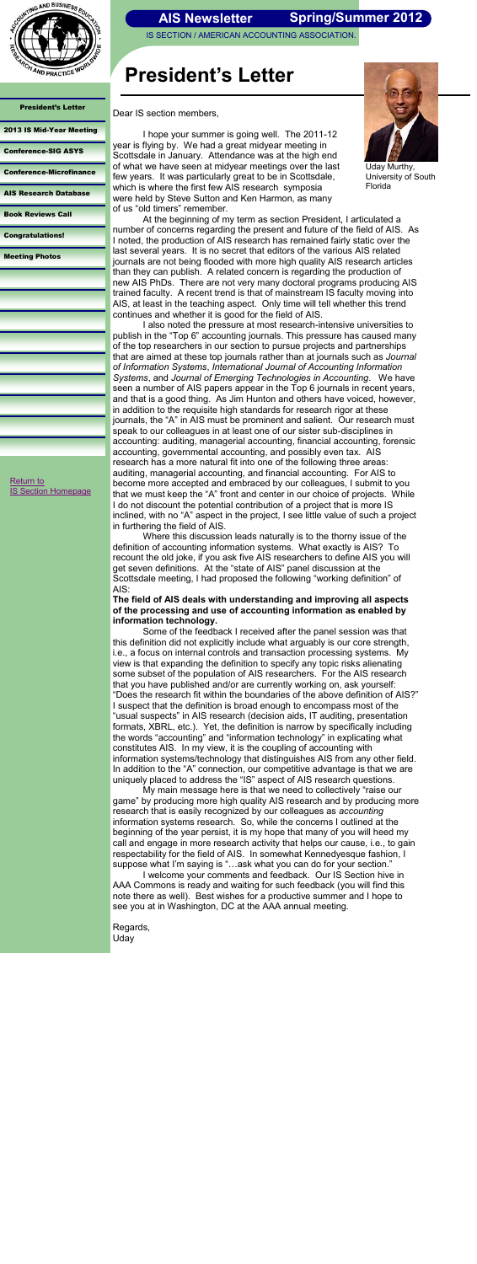IS SECTION / AMERICAN ACCOUNTING ASSOCIATION.



President's Letter

#### [2013 IS Mid-Year Meeting](#page-1-0)

[Conference-SIG ASYS](#page-2-0)

[Return to](http://aaahq.org/infosys/index.html)  **[IS Section Homepage](http://aaahq.org/infosys/index.html)** 

[Conference-Microfinance](#page-3-0)

[AIS Research Database](#page-4-0)

[Book Reviews Call](#page-5-0)

[Congratulations!](#page-6-0)

[Meeting Photos](#page-7-0)

# **President's Letter**

Dear IS section members.

Uday Murthy, University of South Florida

**Spring/Summer 2012**

I hope your summer is going well. The 2011-12 year is flying by. We had a great midyear meeting in Scottsdale in January. Attendance was at the high end of what we have seen at midyear meetings over the last few years. It was particularly great to be in Scottsdale, which is where the first few AIS research symposia were held by Steve Sutton and Ken Harmon, as many of us "old timers" remember.



At the beginning of my term as section President, I articulated a number of concerns regarding the present and future of the field of AIS. As I noted, the production of AIS research has remained fairly static over the last several years. It is no secret that editors of the various AIS related journals are not being flooded with more high quality AIS research articles than they can publish. A related concern is regarding the production of new AIS PhDs. There are not very many doctoral programs producing AIS trained faculty. A recent trend is that of mainstream IS faculty moving into AIS, at least in the teaching aspect. Only time will tell whether this trend continues and whether it is good for the field of AIS.

I also noted the pressure at most research-intensive universities to publish in the "Top 6" accounting journals. This pressure has caused many of the top researchers in our section to pursue projects and partnerships that are aimed at these top journals rather than at journals such as *Journal of Information Systems*, *International Journal of Accounting Information Systems*, and *Journal of Emerging Technologies in Accounting*. We have seen a number of AIS papers appear in the Top 6 journals in recent years, and that is a good thing. As Jim Hunton and others have voiced, however, in addition to the requisite high standards for research rigor at these journals, the "A" in AIS must be prominent and salient. Our research must speak to our colleagues in at least one of our sister sub-disciplines in accounting: auditing, managerial accounting, financial accounting, forensic accounting, governmental accounting, and possibly even tax. AIS research has a more natural fit into one of the following three areas: auditing, managerial accounting, and financial accounting. For AIS to become more accepted and embraced by our colleagues, I submit to you that we must keep the "A" front and center in our choice of projects. While I do not discount the potential contribution of a project that is more IS inclined, with no "A" aspect in the project, I see little value of such a project in furthering the field of AIS.

Where this discussion leads naturally is to the thorny issue of the definition of accounting information systems. What exactly is AIS? To recount the old joke, if you ask five AIS researchers to define AIS you will get seven definitions. At the "state of AIS" panel discussion at the Scottsdale meeting, I had proposed the following "working definition" of AIS:

#### <span id="page-0-0"></span>**The field of AIS deals with understanding and improving all aspects of the processing and use of accounting information as enabled by information technology.**

Some of the feedback I received after the panel session was that this definition did not explicitly include what arguably is our core strength, i.e., a focus on internal controls and transaction processing systems. My view is that expanding the definition to specify any topic risks alienating some subset of the population of AIS researchers. For the AIS research that you have published and/or are currently working on, ask yourself: "Does the research fit within the boundaries of the above definition of AIS?" I suspect that the definition is broad enough to encompass most of the "usual suspects" in AIS research (decision aids, IT auditing, presentation formats, XBRL, etc.). Yet, the definition is narrow by specifically including the words "accounting" and "information technology" in explicating what constitutes AIS. In my view, it is the coupling of accounting with information systems/technology that distinguishes AIS from any other field. In addition to the "A" connection, our competitive advantage is that we are uniquely placed to address the "IS" aspect of AIS research questions. My main message here is that we need to collectively "raise our game" by producing more high quality AIS research and by producing more research that is easily recognized by our colleagues as *accounting*  information systems research. So, while the concerns I outlined at the beginning of the year persist, it is my hope that many of you will heed my call and engage in more research activity that helps our cause, i.e., to gain respectability for the field of AIS. In somewhat Kennedyesque fashion, I suppose what I'm saying is "…ask what you can do for your section."

I welcome your comments and feedback. Our IS Section hive in AAA Commons is ready and waiting for such feedback (you will find this note there as well). Best wishes for a productive summer and I hope to see you at in Washington, DC at the AAA annual meeting.

Regards, Uday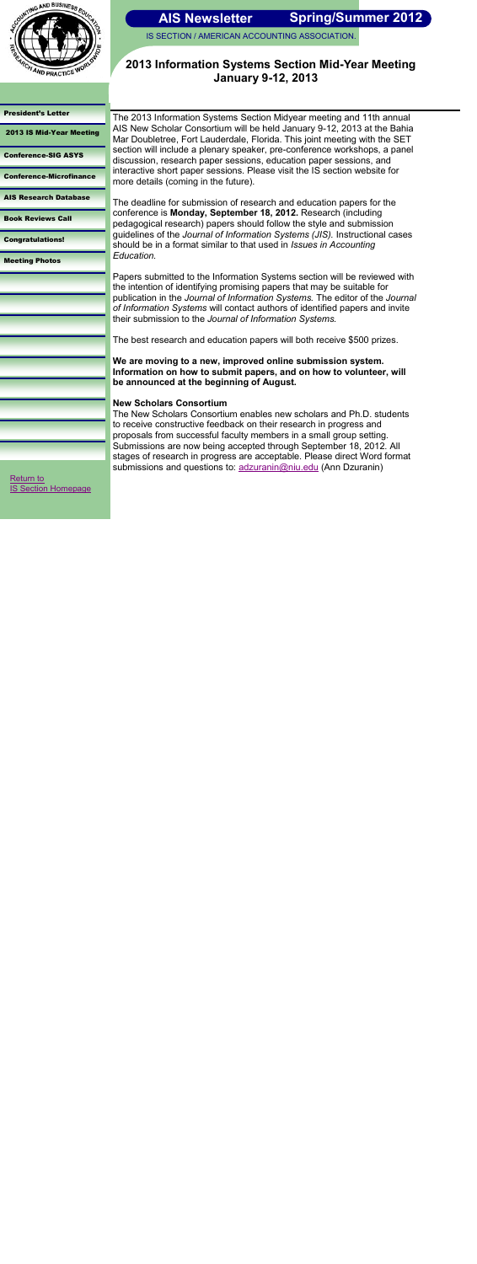

IS SECTION / AMERICAN ACCOUNTING ASSOCIATION.

#### [President's Letter](#page-0-0)

2013 IS Mid-Year Meeting

[Conference-SIG ASYS](#page-2-0)

[Conference-Microfinance](#page-3-0)

<span id="page-1-0"></span>[Return to](http://aaahq.org/infosys/index.html)  **[IS Section Homepage](http://aaahq.org/infosys/index.html)** 

[AIS Research Database](#page-4-0)

[Book Reviews Call](#page-5-0)

[Congratulations!](#page-6-0)

[Meeting Photos](#page-7-0)

## **2013 Information Systems Section Mid-Year Meeting January 9-12, 2013**

The 2013 Information Systems Section Midyear meeting and 11th annual AIS New Scholar Consortium will be held January 9-12, 2013 at the Bahia Mar Doubletree, Fort Lauderdale, Florida. This joint meeting with the SET section will include a plenary speaker, pre-conference workshops, a panel discussion, research paper sessions, education paper sessions, and interactive short paper sessions. Please visit the IS section website for more details (coming in the future).

The New Scholars Consortium enables new scholars and Ph.D. students to receive constructive feedback on their research in progress and proposals from successful faculty members in a small group setting. Submissions are now being accepted through September 18, 2012. All stages of research in progress are acceptable. Please direct Word format submissions and questions to: [adzuranin@niu.edu](mailto:adzuranin@niu.edu) (Ann Dzuranin)

The deadline for submission of research and education papers for the conference is **Monday, September 18, 2012.** Research (including pedagogical research) papers should follow the style and submission guidelines of the *Journal of Information Systems (JIS).* Instructional cases should be in a format similar to that used in *Issues in Accounting Education.*

Papers submitted to the Information Systems section will be reviewed with the intention of identifying promising papers that may be suitable for publication in the *Journal of Information Systems.* The editor of the *Journal of Information Systems* will contact authors of identified papers and invite their submission to the *Journal of Information Systems.*

The best research and education papers will both receive \$500 prizes.

**We are moving to a new, improved online submission system. Information on how to submit papers, and on how to volunteer, will be announced at the beginning of August.**

### **New Scholars Consortium**

**Spring/Summer 2012**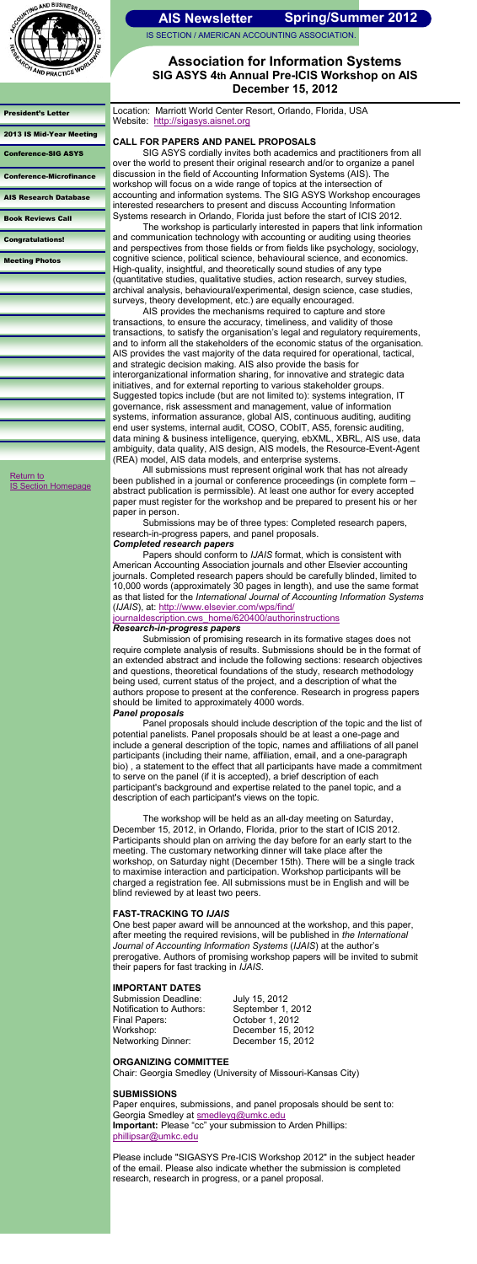[2013 IS Mid-Year Meeting](#page-1-0)

Conference-SIG ASYS

[Conference-Microfinance](#page-3-0)

[AIS Research Database](#page-4-0)

[Book Reviews Call](#page-5-0)

[Congratulations!](#page-6-0)

[Meeting Photos](#page-7-0)

## **Association for Information Systems SIG ASYS 4th Annual Pre-ICIS Workshop on AIS December 15, 2012**

Location: Marriott World Center Resort, Orlando, Florida, USA

Website: <http://sigasys.aisnet.org>

#### **CALL FOR PAPERS AND PANEL PROPOSALS**

SIG ASYS cordially invites both academics and practitioners from all over the world to present their original research and/or to organize a panel discussion in the field of Accounting Information Systems (AIS). The workshop will focus on a wide range of topics at the intersection of accounting and information systems. The SIG ASYS Workshop encourages interested researchers to present and discuss Accounting Information Systems research in Orlando, Florida just before the start of ICIS 2012.

The workshop is particularly interested in papers that link information and communication technology with accounting or auditing using theories and perspectives from those fields or from fields like psychology, sociology, cognitive science, political science, behavioural science, and economics. High-quality, insightful, and theoretically sound studies of any type (quantitative studies, qualitative studies, action research, survey studies, archival analysis, behavioural/experimental, design science, case studies, surveys, theory development, etc.) are equally encouraged.

AIS provides the mechanisms required to capture and store transactions, to ensure the accuracy, timeliness, and validity of those transactions, to satisfy the organisation's legal and regulatory requirements, and to inform all the stakeholders of the economic status of the organisation. AIS provides the vast majority of the data required for operational, tactical, and strategic decision making. AIS also provide the basis for interorganizational information sharing, for innovative and strategic data initiatives, and for external reporting to various stakeholder groups. Suggested topics include (but are not limited to): systems integration, IT governance, risk assessment and management, value of information systems, information assurance, global AIS, continuous auditing, auditing end user systems, internal audit, COSO, CObIT, AS5, forensic auditing, data mining & business intelligence, querying, ebXML, XBRL, AIS use, data ambiguity, data quality, AIS design, AIS models, the Resource-Event-Agent (REA) model, AIS data models, and enterprise systems.

All submissions must represent original work that has not already been published in a journal or conference proceedings (in complete form – abstract publication is permissible). At least one author for every accepted paper must register for the workshop and be prepared to present his or her paper in person.

Submissions may be of three types: Completed research papers, research-in-progress papers, and panel proposals.

#### *Completed research papers*

[Return to](http://aaahq.org/infosys/index.html)  **[IS Section Homepage](http://aaahq.org/infosys/index.html)** 



#### **AIS Newsletter Spring/Summer 2012**

Papers should conform to *IJAIS* format, which is consistent with American Accounting Association journals and other Elsevier accounting journals. Completed research papers should be carefully blinded, limited to 10,000 words (approximately 30 pages in length), and use the same format as that listed for the *International Journal of Accounting Information Systems* (*IJAIS*), at: [http://www.elsevier.com/wps/find/](http://www.elsevier.com/wps/find/journaldescription.cws_home/620400/authorinstructions)

<span id="page-2-0"></span>[journaldescription.cws\\_home/620400/authorinstructions](http://www.elsevier.com/wps/find/journaldescription.cws_home/620400/authorinstructions)

#### *Research-in-progress papers*

Submission of promising research in its formative stages does not require complete analysis of results. Submissions should be in the format of an extended abstract and include the following sections: research objectives and questions, theoretical foundations of the study, research methodology being used, current status of the project, and a description of what the authors propose to present at the conference. Research in progress papers should be limited to approximately 4000 words.

### *Panel proposals*

Panel proposals should include description of the topic and the list of potential panelists. Panel proposals should be at least a one-page and include a general description of the topic, names and affiliations of all panel participants (including their name, affiliation, email, and a one-paragraph bio) , a statement to the effect that all participants have made a commitment to serve on the panel (if it is accepted), a brief description of each participant's background and expertise related to the panel topic, and a description of each participant's views on the topic.

The workshop will be held as an all-day meeting on Saturday, December 15, 2012, in Orlando, Florida, prior to the start of ICIS 2012. Participants should plan on arriving the day before for an early start to the meeting. The customary networking dinner will take place after the workshop, on Saturday night (December 15th). There will be a single track to maximise interaction and participation. Workshop participants will be charged a registration fee. All submissions must be in English and will be blind reviewed by at least two peers.

#### **FAST-TRACKING TO** *IJAIS*

One best paper award will be announced at the workshop, and this paper, after meeting the required revisions, will be published in *the International Journal of Accounting Information Systems* (*IJAIS*) at the author's prerogative. Authors of promising workshop papers will be invited to submit their papers for fast tracking in *IJAIS*.

## **IMPORTANT DATES**

| <b>Submission Deadline:</b>     | July 15, 2012     |
|---------------------------------|-------------------|
| <b>Notification to Authors:</b> | September 1, 2012 |
| Final Papers:                   | October 1, 2012   |
| Workshop:                       | December 15, 2012 |
| <b>Networking Dinner:</b>       | December 15, 2012 |

## **ORGANIZING COMMITTEE**

Chair: Georgia Smedley (University of Missouri-Kansas City)

## **SUBMISSIONS**

Paper enquires, submissions, and panel proposals should be sent to: Georgia Smedley at [smedleyg@umkc.edu](mailto:smedleyg@umkc.edu) **Important:** Please "cc" your submission to Arden Phillips: [phillipsar@umkc.edu](mailto:phillipsar@umkc.edu)

Please include "SIGASYS Pre-ICIS Workshop 2012" in the subject header of the email. Please also indicate whether the submission is completed research, research in progress, or a panel proposal.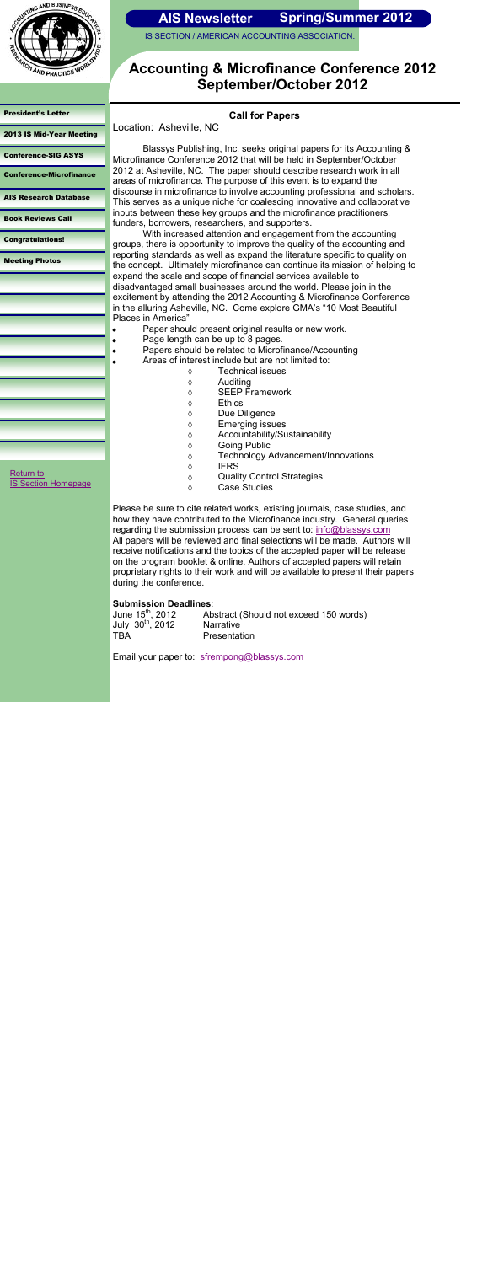[President's Letter](#page-0-0) 

[2013 IS Mid-Year Meeting](#page-1-0)

[Conference-SIG ASYS](#page-2-0)

Conference-Microfinance

[AIS Research Database](#page-4-0)

[Book Reviews Call](#page-5-0)

[Congratulations!](#page-6-0)

[Meeting Photos](#page-7-0)

## **Accounting & Microfinance Conference 2012 September/October 2012**

## **Call for Papers**

Location: Asheville, NC

Blassys Publishing, Inc. seeks original papers for its Accounting & Microfinance Conference 2012 that will be held in September/October 2012 at Asheville, NC. The paper should describe research work in all areas of microfinance. The purpose of this event is to expand the discourse in microfinance to involve accounting professional and scholars. This serves as a unique niche for coalescing innovative and collaborative inputs between these key groups and the microfinance practitioners, funders, borrowers, researchers, and supporters.

With increased attention and engagement from the accounting groups, there is opportunity to improve the quality of the accounting and reporting standards as well as expand the literature specific to quality on the concept. Ultimately microfinance can continue its mission of helping to expand the scale and scope of financial services available to disadvantaged small businesses around the world. Please join in the excitement by attending the 2012 Accounting & Microfinance Conference in the alluring Asheville, NC. Come explore GMA's "10 Most Beautiful Places in America"



#### **AIS Newsletter Spring/Summer 2012**

- Paper should present original results or new work.
- Page length can be up to 8 pages.

 $\Diamond$  $\Diamond$ 

- Papers should be related to Microfinance/Accounting
	- Areas of interest include but are not limited to:
		- Technical issues  $\Diamond$
		- $\Diamond$ Auditing
		- $\Diamond$ SEEP Framework
		- $\Diamond$ **Ethics**
		- $\Diamond$ Due Diligence
			- Emerging issues
			- Accountability/Sustainability
		- $\Diamond$ Going Public
		- Technology Advancement/Innovations  $\Diamond$
		- $\Diamond$ IFRS
		- $\Diamond$ Quality Control Strategies
		- $\Diamond$ Case Studies

Please be sure to cite related works, existing journals, case studies, and how they have contributed to the Microfinance industry. General queries regarding the submission process can be sent to: [info@blassys.com](mailto:info@blassys.com) All papers will be reviewed and final selections will be made. Authors will receive notifications and the topics of the accepted paper will be release on the program booklet & online. Authors of accepted papers will retain proprietary rights to their work and will be available to present their papers during the conference.

### **Submission Deadlines**:

<span id="page-3-0"></span>

| June 15 <sup>th</sup> , 2012 |  |
|------------------------------|--|
| July 30 <sup>th</sup> , 2012 |  |
| TBA                          |  |

Abstract (Should not exceed 150 words) **Narrative** Presentation

Email your paper to: [sfrempong@blassys.com](mailto:sfrempong@blassys.com)

[Return to](http://aaahq.org/infosys/index.html)  [IS Section Homepage](http://aaahq.org/infosys/index.html)  $\bullet$  $\bullet$  $\bullet$  $\bullet$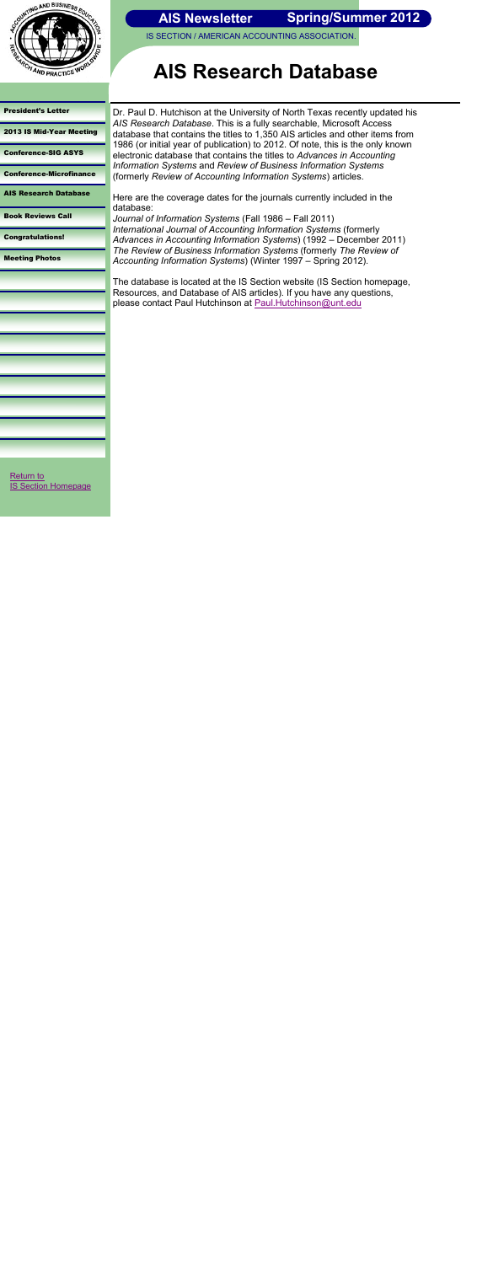

IS SECTION / AMERICAN ACCOUNTING ASSOCIATION.

#### [President's Letter](#page-0-0)

[2013 IS Mid-Year Meeting](#page-1-0)

[Conference-SIG ASYS](#page-2-0)

<span id="page-4-0"></span>[Return to](http://aaahq.org/infosys/index.html)  **[IS Section Homepage](http://aaahq.org/infosys/index.html)** 

[Conference-Microfinance](#page-3-0)

AIS Research Database

[Book Reviews Call](#page-5-0)

[Congratulations!](#page-6-0)

[Meeting Photos](#page-7-0)

# **AIS Research Database**

Dr. Paul D. Hutchison at the University of North Texas recently updated his *AIS Research Database*. This is a fully searchable, Microsoft Access database that contains the titles to 1,350 AIS articles and other items from 1986 (or initial year of publication) to 2012. Of note, this is the only known electronic database that contains the titles to *Advances in Accounting Information Systems* and *Review of Business Information Systems* (formerly *Review of Accounting Information Systems*) articles.

The database is located at the IS Section website (IS Section homepage, Resources, and Database of AIS articles). If you have any questions, please contact Paul Hutchinson at **[Paul.Hutchinson@unt.edu](mailto:Paul.Hutchinson@unt.edu)** 

Here are the coverage dates for the journals currently included in the database:

*Journal of Information Systems* (Fall 1986 – Fall 2011) *International Journal of Accounting Information Systems* (formerly *Advances in Accounting Information Systems*) (1992 – December 2011) *The Review of Business Information Systems* (formerly *The Review of Accounting Information Systems*) (Winter 1997 – Spring 2012).

**Spring/Summer 2012**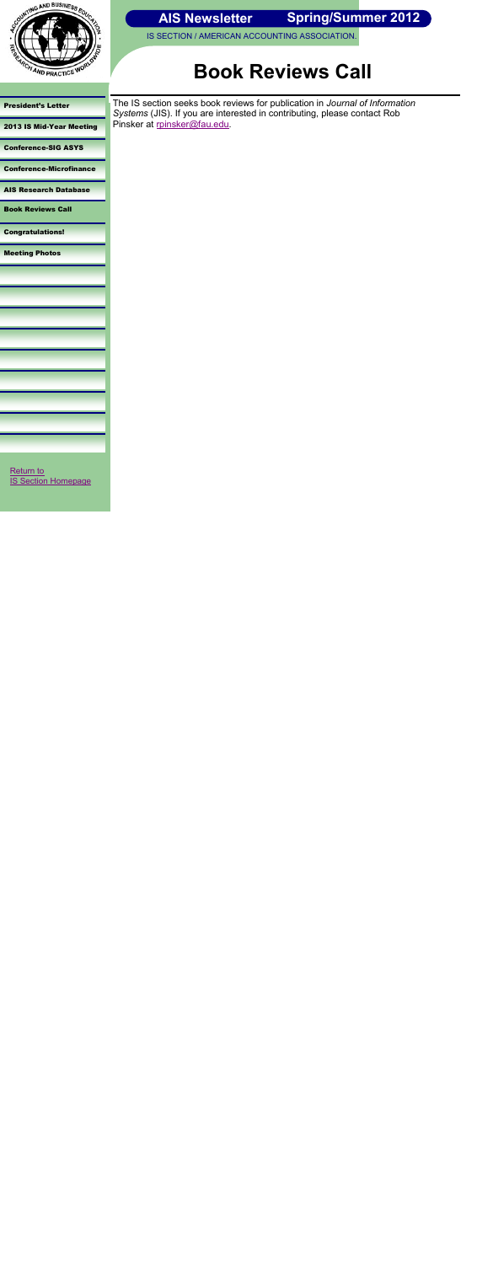

IS SECTION / AMERICAN ACCOUNTING ASSOCIATION.

#### [President's Letter](#page-0-0)

[2013 IS Mid-Year Meeting](#page-1-0)

[Conference-SIG ASYS](#page-2-0)

[Conference-Microfinance](#page-3-0)

[AIS Research Database](#page-4-0)

Book Reviews Call

[Congratulations!](#page-6-0)

[Meeting Photos](#page-7-0)

# **Book Reviews Call**

The IS section seeks book reviews for publication in *Journal of Information Systems* (JIS). If you are interested in contributing, please contact Rob Pinsker at [rpinsker@fau.edu.](mailto:rpinsker@fau.edu)

<span id="page-5-0"></span>[Return to](http://aaahq.org/infosys/index.html)  [IS Section Homepage](http://aaahq.org/infosys/index.html) **Spring/Summer 2012**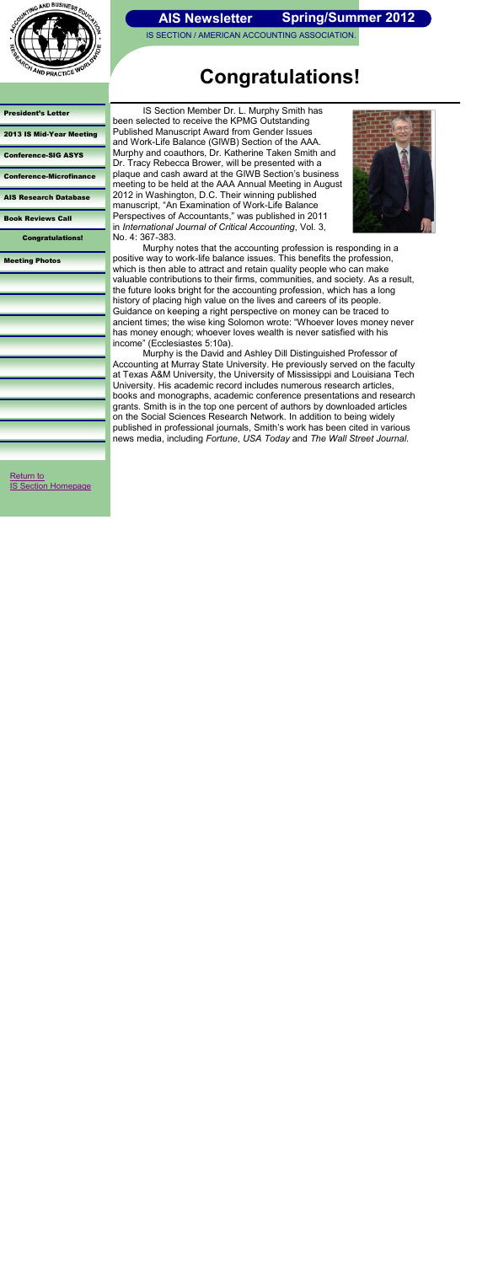#### [President's Letter](#page-0-0)

[2013 IS Mid-Year Meeting](#page-1-0)

[Conference-SIG ASYS](#page-2-0)

[Conference-Microfinance](#page-3-0)

[AIS Research Database](#page-4-0)

[Book Reviews Call](#page-5-0)

Congratulations!

[Meeting Photos](#page-7-0)

# **Congratulations!**

IS Section Member Dr. L. Murphy Smith has been selected to receive the KPMG Outstanding Published Manuscript Award from Gender Issues and Work-Life Balance (GIWB) Section of the AAA. Murphy and coauthors, Dr. Katherine Taken Smith and Dr. Tracy Rebecca Brower, will be presented with a plaque and cash award at the GIWB Section's business meeting to be held at the AAA Annual Meeting in August 2012 in Washington, D.C. Their winning published manuscript, "An Examination of Work-Life Balance Perspectives of Accountants," was published in 2011 in *International Journal of Critical Accounting*, Vol. 3, No. 4: 367-383.



<span id="page-6-0"></span>[Return to](http://aaahq.org/infosys/index.html)  **[IS Section Homepage](http://aaahq.org/infosys/index.html)** 



#### **AIS Newsletter Spring/Summer 2012**

Murphy notes that the accounting profession is responding in a positive way to work-life balance issues. This benefits the profession, which is then able to attract and retain quality people who can make valuable contributions to their firms, communities, and society. As a result, the future looks bright for the accounting profession, which has a long history of placing high value on the lives and careers of its people. Guidance on keeping a right perspective on money can be traced to ancient times; the wise king Solomon wrote: "Whoever loves money never has money enough; whoever loves wealth is never satisfied with his income" (Ecclesiastes 5:10a).

Murphy is the David and Ashley Dill Distinguished Professor of Accounting at Murray State University. He previously served on the faculty at Texas A&M University, the University of Mississippi and Louisiana Tech University. His academic record includes numerous research articles, books and monographs, academic conference presentations and research grants. Smith is in the top one percent of authors by downloaded articles on the Social Sciences Research Network. In addition to being widely published in professional journals, Smith's work has been cited in various news media, including *Fortune*, *USA Today* and *The Wall Street Journal*.